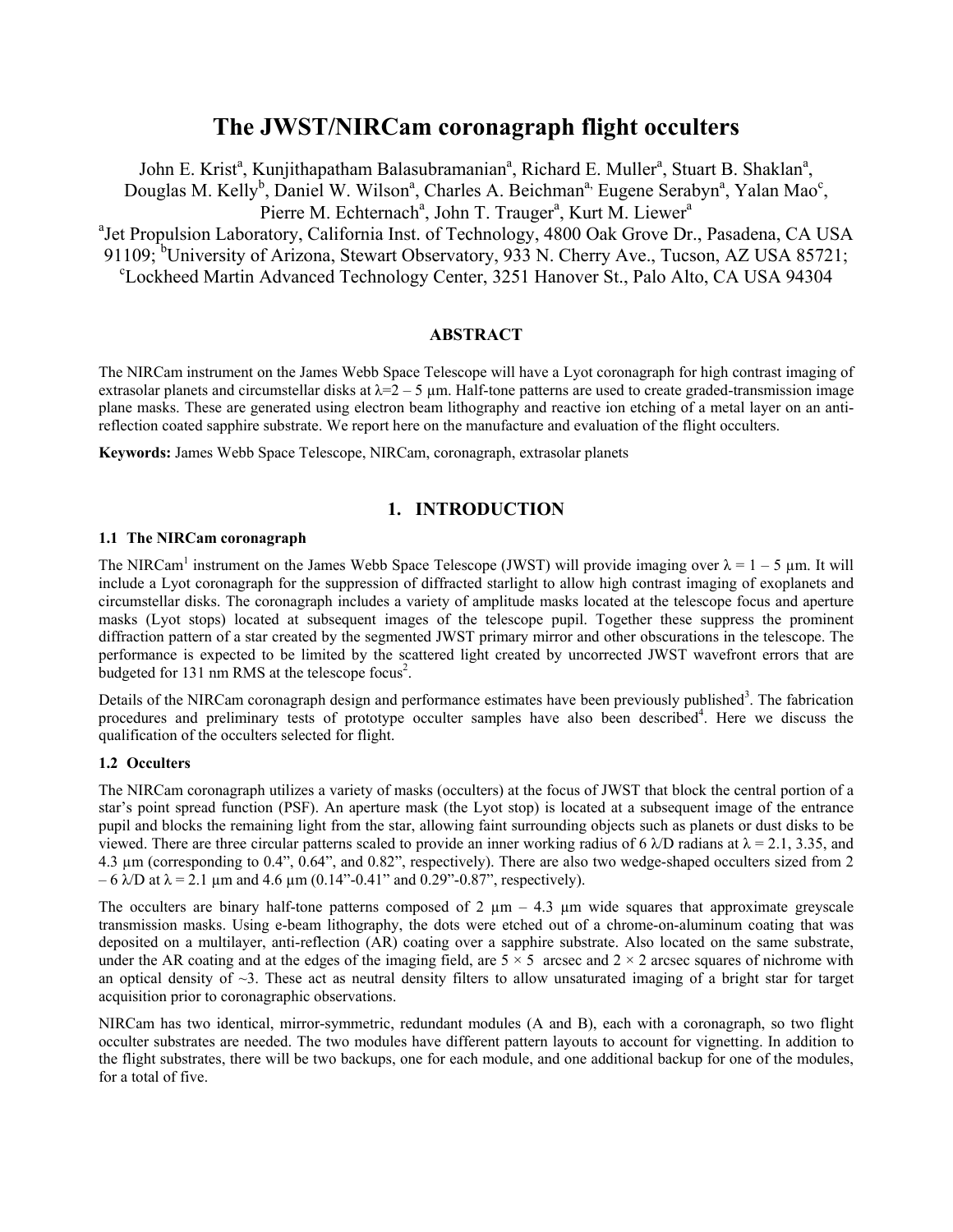# **The JWST/NIRCam coronagraph flight occulters**

John E. Krist<sup>a</sup>, Kunjithapatham Balasubramanian<sup>a</sup>, Richard E. Muller<sup>a</sup>, Stuart B. Shaklan<sup>a</sup>, Douglas M. Kelly<sup>b</sup>, Daniel W. Wilson<sup>a</sup>, Charles A. Beichman<sup>a,</sup> Eugene Serabyn<sup>a</sup>, Yalan Mao<sup>c</sup>, Pierre M. Echternach<sup>a</sup>, John T. Trauger<sup>a</sup>, Kurt M. Liewer<sup>a</sup> <sup>a</sup> Jet Propulsion Laboratory, California Inst. of Technology, 4800 Oak Grove Dr., Pasadena, CA USA 91109; <sup>b</sup>University of Arizona, Stewart Observatory, 933 N. Cherry Ave., Tucson, AZ USA 85721;<br><sup>c</sup>Lockhood Martin Advanced Technology Center 3251 Hanover St. Pelo Alto, CA USA 04204. Lockheed Martin Advanced Technology Center, 3251 Hanover St., Palo Alto, CA USA 94304

# **ABSTRACT**

The NIRCam instrument on the James Webb Space Telescope will have a Lyot coronagraph for high contrast imaging of extrasolar planets and circumstellar disks at  $\lambda = 2 - 5$  µm. Half-tone patterns are used to create graded-transmission image plane masks. These are generated using electron beam lithography and reactive ion etching of a metal layer on an antireflection coated sapphire substrate. We report here on the manufacture and evaluation of the flight occulters.

**Keywords:** James Webb Space Telescope, NIRCam, coronagraph, extrasolar planets

# **1. INTRODUCTION**

# **1.1 The NIRCam coronagraph**

The NIRCam<sup>1</sup> instrument on the James Webb Space Telescope (JWST) will provide imaging over  $\lambda = 1 - 5$  µm. It will include a Lyot coronagraph for the suppression of diffracted starlight to allow high contrast imaging of exoplanets and circumstellar disks. The coronagraph includes a variety of amplitude masks located at the telescope focus and aperture masks (Lyot stops) located at subsequent images of the telescope pupil. Together these suppress the prominent diffraction pattern of a star created by the segmented JWST primary mirror and other obscurations in the telescope. The performance is expected to be limited by the scattered light created by uncorrected JWST wavefront errors that are budgeted for  $131 \text{ nm RMS}$  at the telescope focus<sup>2</sup>.

Details of the NIRCam coronagraph design and performance estimates have been previously published<sup>3</sup>. The fabrication procedures and preliminary tests of prototype occulter samples have also been described<sup>4</sup>. Here we discuss the qualification of the occulters selected for flight.

# **1.2 Occulters**

The NIRCam coronagraph utilizes a variety of masks (occulters) at the focus of JWST that block the central portion of a star's point spread function (PSF). An aperture mask (the Lyot stop) is located at a subsequent image of the entrance pupil and blocks the remaining light from the star, allowing faint surrounding objects such as planets or dust disks to be viewed. There are three circular patterns scaled to provide an inner working radius of 6  $\lambda$ D radians at  $\lambda$  = 2.1, 3.35, and 4.3 µm (corresponding to 0.4", 0.64", and 0.82", respectively). There are also two wedge-shaped occulters sized from 2 – 6  $\lambda$ D at λ = 2.1 μm and 4.6 μm (0.14"-0.41" and 0.29"-0.87", respectively).

The occulters are binary half-tone patterns composed of 2  $\mu$ m – 4.3  $\mu$ m wide squares that approximate greyscale transmission masks. Using e-beam lithography, the dots were etched out of a chrome-on-aluminum coating that was deposited on a multilayer, anti-reflection (AR) coating over a sapphire substrate. Also located on the same substrate, under the AR coating and at the edges of the imaging field, are  $5 \times 5$  arcsec and  $2 \times 2$  arcsec squares of nichrome with an optical density of  $\sim$ 3. These act as neutral density filters to allow unsaturated imaging of a bright star for target acquisition prior to coronagraphic observations.

NIRCam has two identical, mirror-symmetric, redundant modules (A and B), each with a coronagraph, so two flight occulter substrates are needed. The two modules have different pattern layouts to account for vignetting. In addition to the flight substrates, there will be two backups, one for each module, and one additional backup for one of the modules, for a total of five.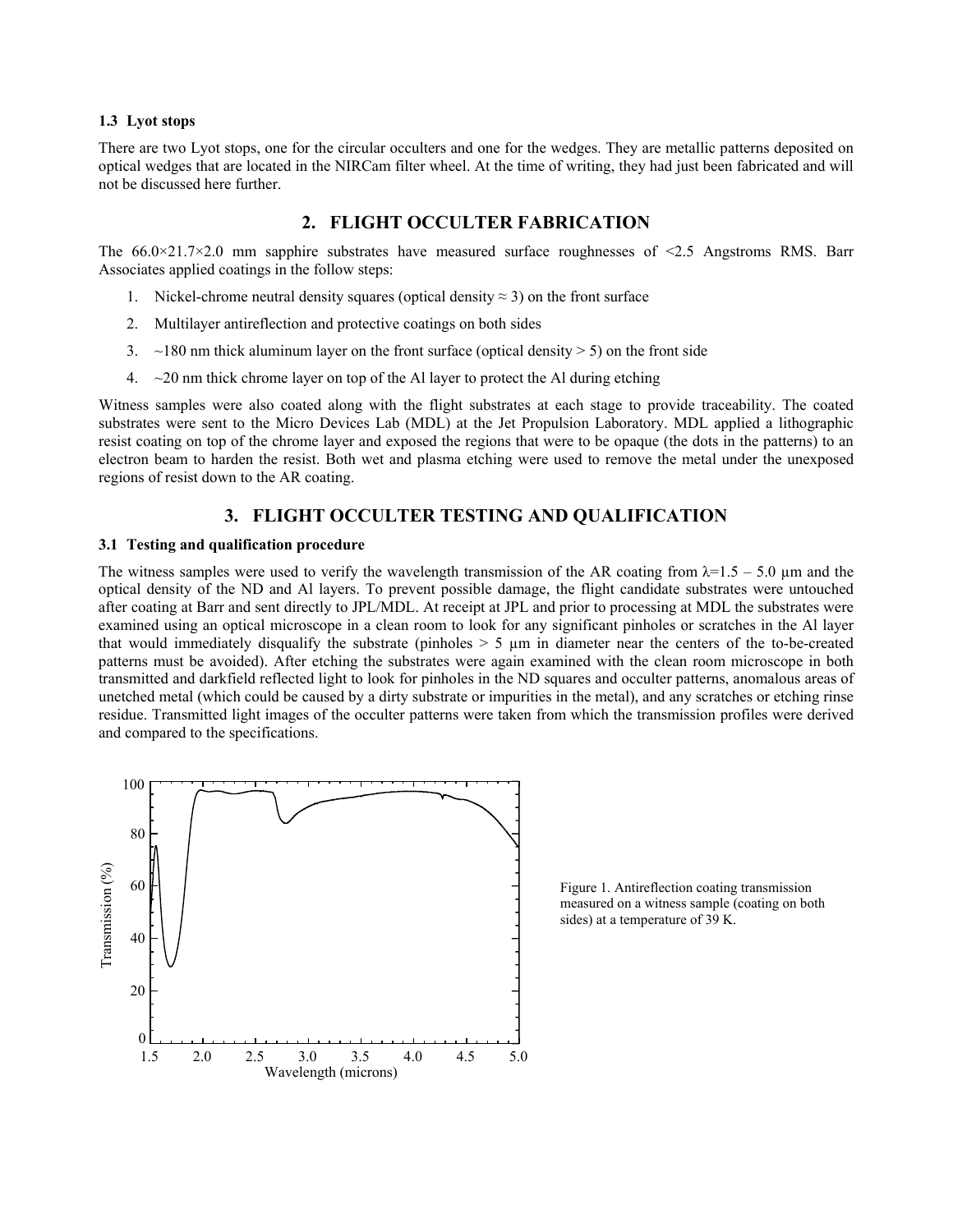#### **1.3 Lyot stops**

There are two Lyot stops, one for the circular occulters and one for the wedges. They are metallic patterns deposited on optical wedges that are located in the NIRCam filter wheel. At the time of writing, they had just been fabricated and will not be discussed here further.

# **2. FLIGHT OCCULTER FABRICATION**

The  $66.0\times21.7\times2.0$  mm sapphire substrates have measured surface roughnesses of  $\leq2.5$  Angstroms RMS. Barr Associates applied coatings in the follow steps:

- 1. Nickel-chrome neutral density squares (optical density  $\approx$  3) on the front surface
- 2. Multilayer antireflection and protective coatings on both sides
- 3.  $\sim$ 180 nm thick aluminum layer on the front surface (optical density  $>$  5) on the front side
- 4.  $\sim$  20 nm thick chrome layer on top of the Al layer to protect the Al during etching

Witness samples were also coated along with the flight substrates at each stage to provide traceability. The coated substrates were sent to the Micro Devices Lab (MDL) at the Jet Propulsion Laboratory. MDL applied a lithographic resist coating on top of the chrome layer and exposed the regions that were to be opaque (the dots in the patterns) to an electron beam to harden the resist. Both wet and plasma etching were used to remove the metal under the unexposed regions of resist down to the AR coating.

# **3. FLIGHT OCCULTER TESTING AND QUALIFICATION**

#### **3.1 Testing and qualification procedure**

The witness samples were used to verify the wavelength transmission of the AR coating from  $\lambda = 1.5 - 5.0 \mu$ m and the optical density of the ND and Al layers. To prevent possible damage, the flight candidate substrates were untouched after coating at Barr and sent directly to JPL/MDL. At receipt at JPL and prior to processing at MDL the substrates were examined using an optical microscope in a clean room to look for any significant pinholes or scratches in the Al layer that would immediately disqualify the substrate (pinholes  $> 5 \mu m$  in diameter near the centers of the to-be-created patterns must be avoided). After etching the substrates were again examined with the clean room microscope in both transmitted and darkfield reflected light to look for pinholes in the ND squares and occulter patterns, anomalous areas of unetched metal (which could be caused by a dirty substrate or impurities in the metal), and any scratches or etching rinse residue. Transmitted light images of the occulter patterns were taken from which the transmission profiles were derived and compared to the specifications.



Figure 1. Antireflection coating transmission measured on a witness sample (coating on both sides) at a temperature of 39 K.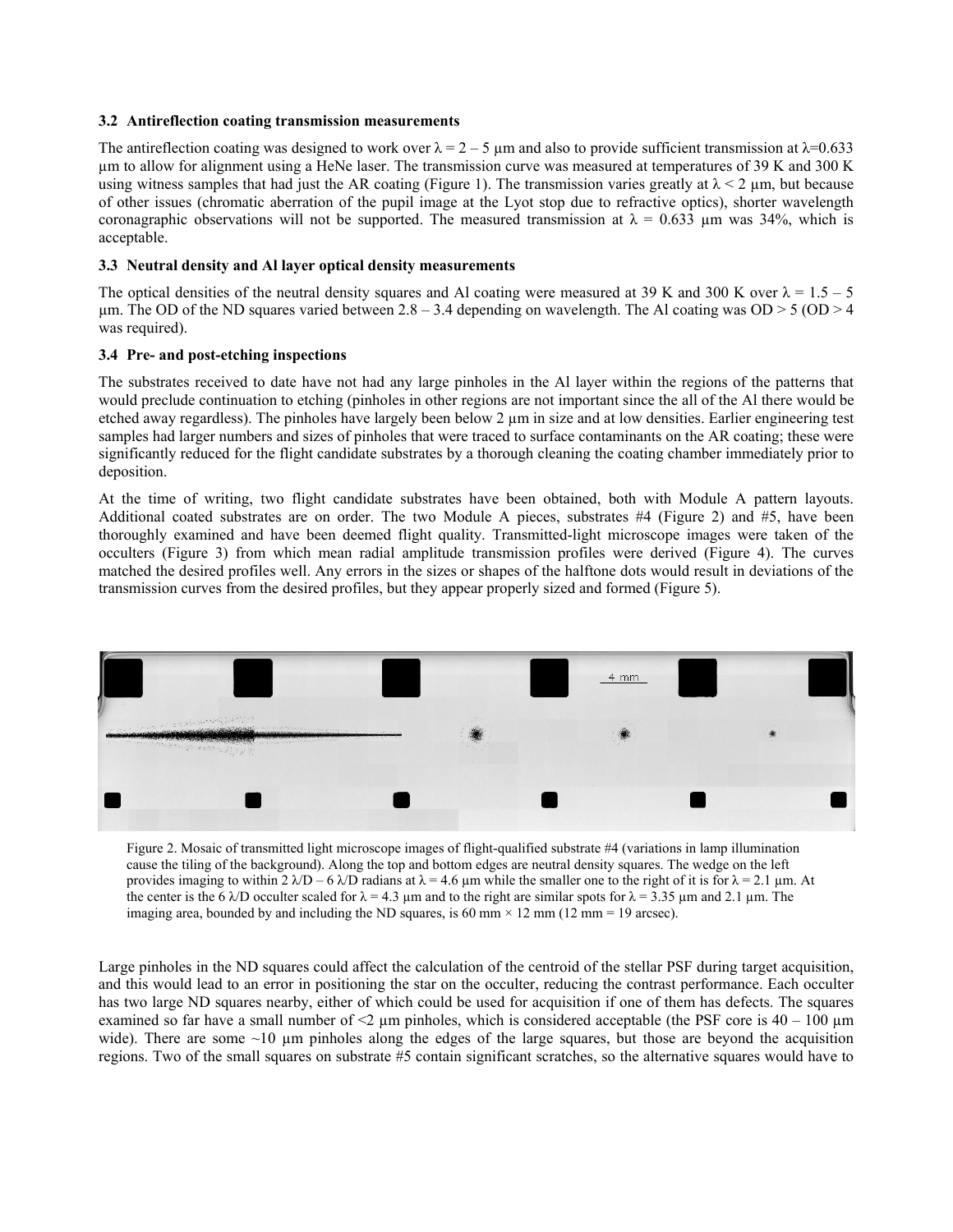#### **3.2 Antireflection coating transmission measurements**

The antireflection coating was designed to work over  $\lambda = 2 - 5$  µm and also to provide sufficient transmission at  $\lambda = 0.633$ µm to allow for alignment using a HeNe laser. The transmission curve was measured at temperatures of 39 K and 300 K using witness samples that had just the AR coating (Figure 1). The transmission varies greatly at  $\lambda < 2$  µm, but because of other issues (chromatic aberration of the pupil image at the Lyot stop due to refractive optics), shorter wavelength coronagraphic observations will not be supported. The measured transmission at  $\lambda = 0.633$  µm was 34%, which is acceptable.

### **3.3 Neutral density and Al layer optical density measurements**

The optical densities of the neutral density squares and Al coating were measured at 39 K and 300 K over  $\lambda = 1.5 - 5$ µm. The OD of the ND squares varied between  $2.8 - 3.4$  depending on wavelength. The Al coating was OD > 5 (OD > 4 was required).

### **3.4 Pre- and post-etching inspections**

The substrates received to date have not had any large pinholes in the Al layer within the regions of the patterns that would preclude continuation to etching (pinholes in other regions are not important since the all of the Al there would be etched away regardless). The pinholes have largely been below 2 µm in size and at low densities. Earlier engineering test samples had larger numbers and sizes of pinholes that were traced to surface contaminants on the AR coating; these were significantly reduced for the flight candidate substrates by a thorough cleaning the coating chamber immediately prior to deposition.

At the time of writing, two flight candidate substrates have been obtained, both with Module A pattern layouts. Additional coated substrates are on order. The two Module A pieces, substrates #4 (Figure 2) and #5, have been thoroughly examined and have been deemed flight quality. Transmitted-light microscope images were taken of the occulters (Figure 3) from which mean radial amplitude transmission profiles were derived (Figure 4). The curves matched the desired profiles well. Any errors in the sizes or shapes of the halftone dots would result in deviations of the transmission curves from the desired profiles, but they appear properly sized and formed (Figure 5).



Figure 2. Mosaic of transmitted light microscope images of flight-qualified substrate #4 (variations in lamp illumination cause the tiling of the background). Along the top and bottom edges are neutral density squares. The wedge on the left provides imaging to within 2  $λ/D - 6 λ/D$  radians at  $λ = 4.6 \mu m$  while the smaller one to the right of it is for  $λ = 2.1 \mu m$ . At the center is the 6  $\lambda$ D occulter scaled for  $\lambda = 4.3$  µm and to the right are similar spots for  $\lambda = 3.35$  µm and 2.1 µm. The imaging area, bounded by and including the ND squares, is 60 mm  $\times$  12 mm (12 mm = 19 arcsec).

Large pinholes in the ND squares could affect the calculation of the centroid of the stellar PSF during target acquisition, and this would lead to an error in positioning the star on the occulter, reducing the contrast performance. Each occulter has two large ND squares nearby, either of which could be used for acquisition if one of them has defects. The squares examined so far have a small number of  $\leq$   $\mu$ m pinholes, which is considered acceptable (the PSF core is 40 – 100  $\mu$ m wide). There are some  $\sim$ 10 µm pinholes along the edges of the large squares, but those are beyond the acquisition regions. Two of the small squares on substrate #5 contain significant scratches, so the alternative squares would have to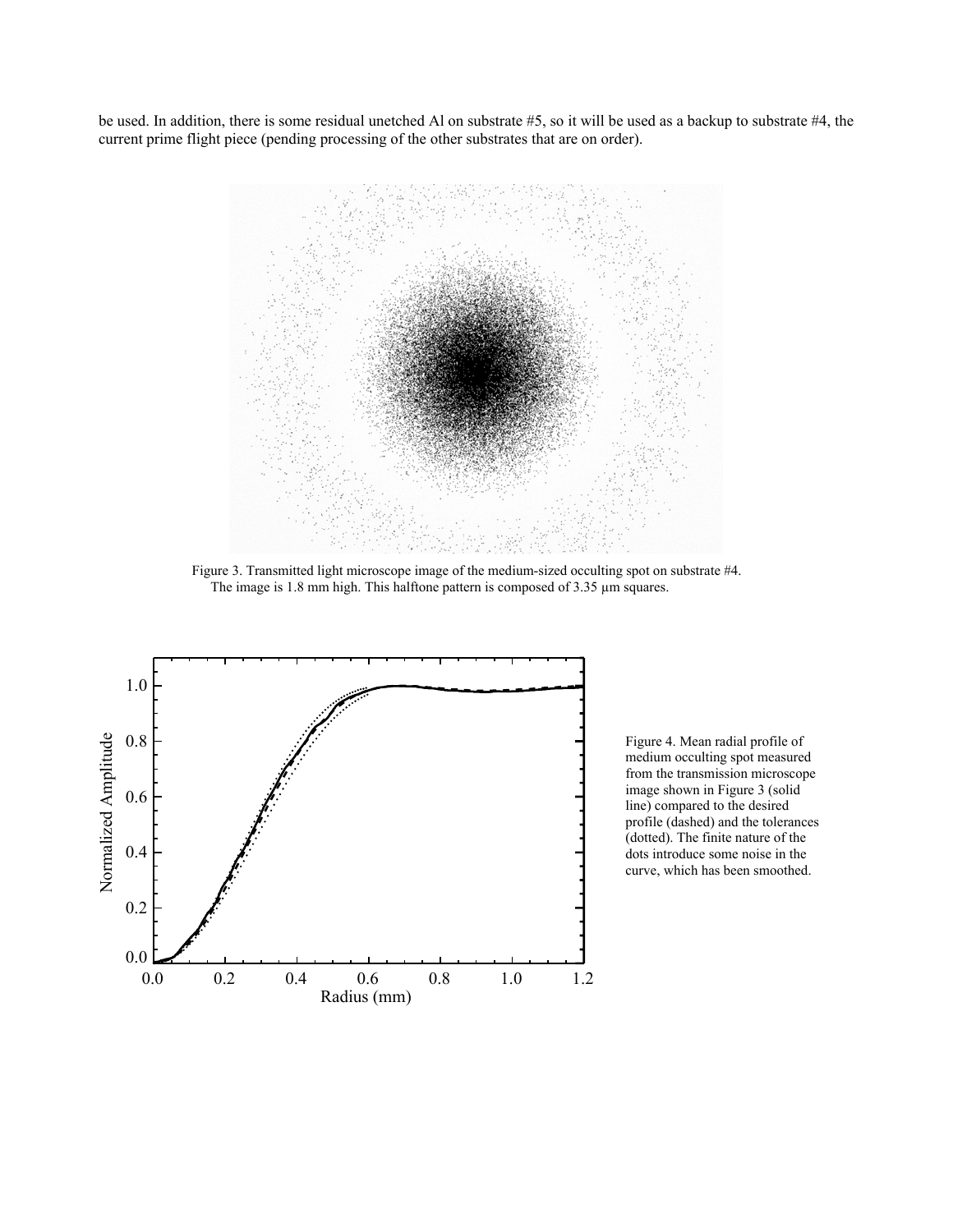be used. In addition, there is some residual unetched Al on substrate #5, so it will be used as a backup to substrate #4, the current prime flight piece (pending processing of the other substrates that are on order).



Figure 3. Transmitted light microscope image of the medium-sized occulting spot on substrate #4. The image is 1.8 mm high. This halftone pattern is composed of 3.35  $\mu$ m squares.



Figure 4. Mean radial profile of medium occulting spot measured from the transmission microscope image shown in Figure 3 (solid line) compared to the desired profile (dashed) and the tolerances (dotted). The finite nature of the dots introduce some noise in the curve, which has been smoothed.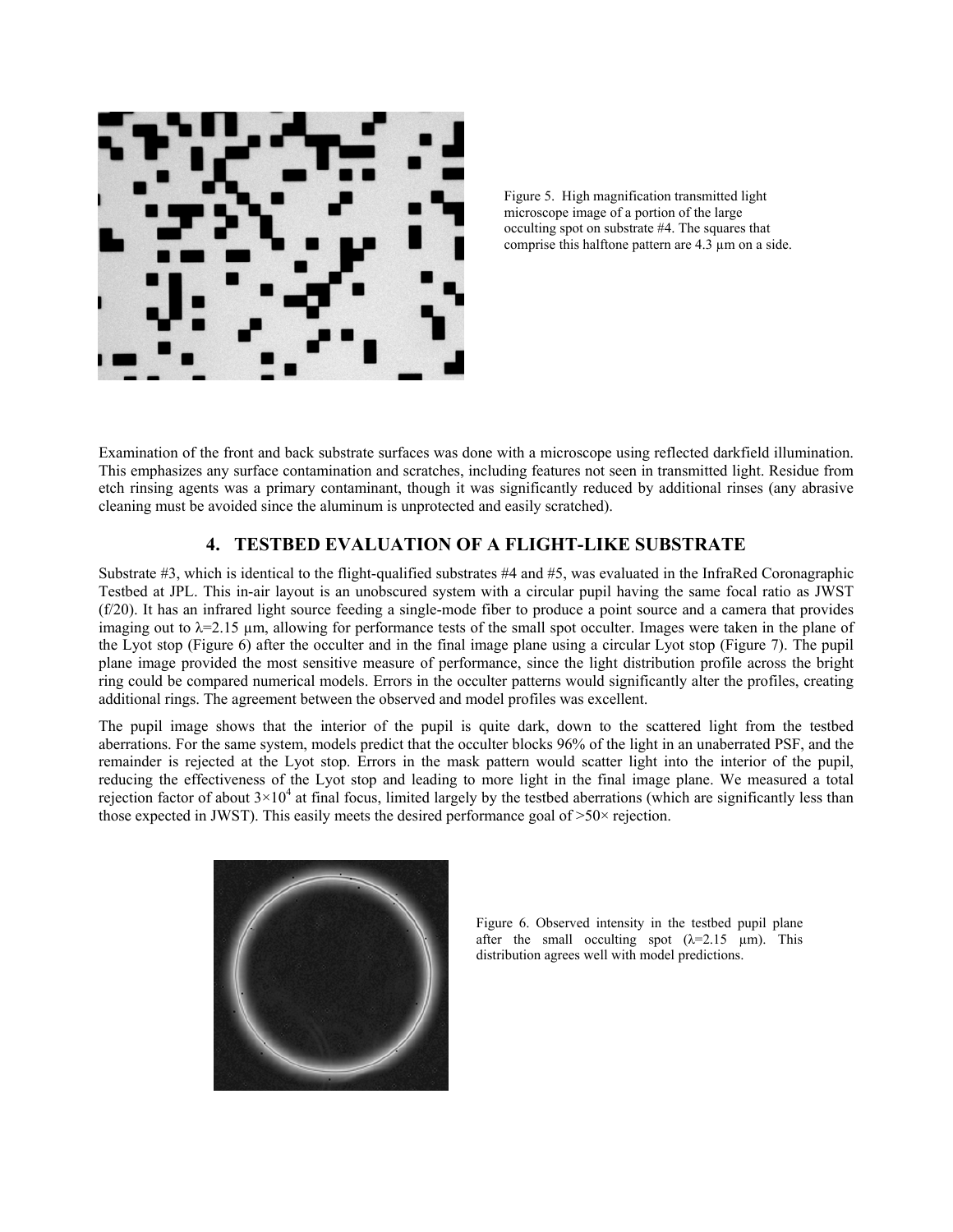



Examination of the front and back substrate surfaces was done with a microscope using reflected darkfield illumination. This emphasizes any surface contamination and scratches, including features not seen in transmitted light. Residue from etch rinsing agents was a primary contaminant, though it was significantly reduced by additional rinses (any abrasive cleaning must be avoided since the aluminum is unprotected and easily scratched).

# **4. TESTBED EVALUATION OF A FLIGHT-LIKE SUBSTRATE**

Substrate #3, which is identical to the flight-qualified substrates #4 and #5, was evaluated in the InfraRed Coronagraphic Testbed at JPL. This in-air layout is an unobscured system with a circular pupil having the same focal ratio as JWST (f/20). It has an infrared light source feeding a single-mode fiber to produce a point source and a camera that provides imaging out to  $\lambda = 2.15$  µm, allowing for performance tests of the small spot occulter. Images were taken in the plane of the Lyot stop (Figure 6) after the occulter and in the final image plane using a circular Lyot stop (Figure 7). The pupil plane image provided the most sensitive measure of performance, since the light distribution profile across the bright ring could be compared numerical models. Errors in the occulter patterns would significantly alter the profiles, creating additional rings. The agreement between the observed and model profiles was excellent.

The pupil image shows that the interior of the pupil is quite dark, down to the scattered light from the testbed aberrations. For the same system, models predict that the occulter blocks 96% of the light in an unaberrated PSF, and the remainder is rejected at the Lyot stop. Errors in the mask pattern would scatter light into the interior of the pupil, reducing the effectiveness of the Lyot stop and leading to more light in the final image plane. We measured a total rejection factor of about  $3\times10^4$  at final focus, limited largely by the testbed aberrations (which are significantly less than those expected in JWST). This easily meets the desired performance goal of >50× rejection.